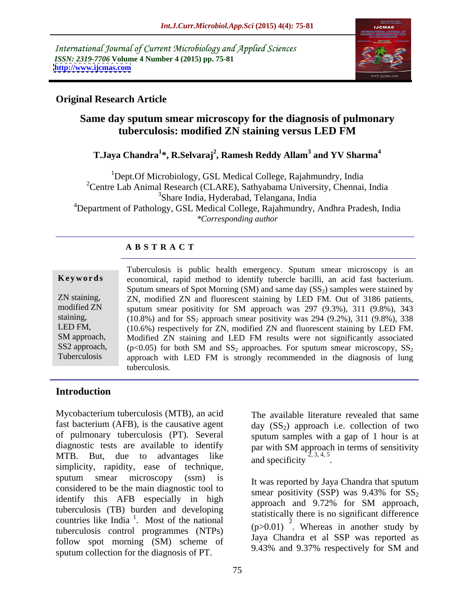International Journal of Current Microbiology and Applied Sciences *ISSN: 2319-7706* **Volume 4 Number 4 (2015) pp. 75-81 <http://www.ijcmas.com>**



### **Original Research Article**

# **Same day sputum smear microscopy for the diagnosis of pulmonary tuberculosis: modified ZN staining versus LED FM**

#### <code>T.Jaya Chandra $^{1*}$ , R.Selvaraj $^{2}$ , Ramesh Reddy Allam $^{3}$  and YV Sharma $^{4}$ </code>  **and YV Sharma<sup>4</sup>**

<sup>1</sup>Dept.Of Microbiology, GSL Medical College, Rajahmundry, India <sup>2</sup>Centre Lab Animal Research (CLARE), Sathyabama University, Chennai, India <sup>3</sup>Share India, Hyderabad, Telangana, India <sup>4</sup>Department of Pathology, GSL Medical College, Rajahmundry, Andhra Pradesh, India *\*Corresponding author* 

#### **A B S T R A C T**

|               | Tuberculosis is public health emergency. Sputum smear microscopy is an                                |  |  |  |
|---------------|-------------------------------------------------------------------------------------------------------|--|--|--|
| Keywords      | economical, rapid method to identify tubercle bacilli, an acid fast bacterium.                        |  |  |  |
|               | Sputum smears of Spot Morning (SM) and same day (SS <sub>2</sub> ) samples were stained by            |  |  |  |
| ZN staining,  | ZN, modified ZN and fluorescent staining by LED FM. Out of 3186 patients,                             |  |  |  |
| modified ZN   | sputum smear positivity for SM approach was 297 (9.3%), 311 (9.8%), 343                               |  |  |  |
| staining,     | $(10.8\%)$ and for $SS_2$ approach smear positivity was 294 (9.2%), 311 (9.8%), 338                   |  |  |  |
| LED FM,       | (10.6%) respectively for ZN, modified ZN and fluorescent staining by LED FM.                          |  |  |  |
| SM approach   | Modified ZN staining and LED FM results were not significantly associated                             |  |  |  |
| SS2 approach, | ( $p<0.05$ ) for both SM and SS <sub>2</sub> approaches. For sputum smear microscopy, SS <sub>2</sub> |  |  |  |
| Tuberculosis  | approach with LED FM is strongly recommended in the diagnosis of lung                                 |  |  |  |
|               |                                                                                                       |  |  |  |

#### **Introduction**

Mycobacterium tuberculosis (MTB), an acid fast bacterium (AFB), is the causative agent  $\qquad \text{day (SS}_2)$  approach i.e. collection of two of pulmonary tuberculosis (PT). Several diagnostic tests are available to identify MTB. But, due to advantages like  $\frac{1}{2}$ , 3, 4, 5 simplicity, rapidity, ease of technique, sputum smear microscopy (ssm) is two reported by Java Chandra that sputum considered to be the main diagnostic tool to<br>smear positivity (SSP) was  $9.43\%$  for SS<sub>2</sub> identify this AFB especially in high approach and 9.72% for SM approach, tuberculosis (TB) burden and developing countries like India<sup>1</sup>. Most of the national tuberculosis control programmes (NTPs) follow spot morning (SM) scheme of sputum collection for the diagnosis of PT.

The available literature revealed that same sputum samples with a gap of 1 hour is at par with SM approach in terms of sensitivity and specificity  $2, 3, 4, 5$ . .

 $\frac{1}{1}$  Most of the national statistically there is no significant difference . Most of the national  $(1.001)^{\frac{2}{3}}$  W. It was reported by Jaya Chandra that sputum smear positivity (SSP) was  $9.43\%$  for  $SS_2$ approach and 9.72% for SM approach,  $(p>0.01)$ <sup>2</sup>. Whereas in another study by Jaya Chandra et al SSP was reported as 9.43% and 9.37% respectively for SM and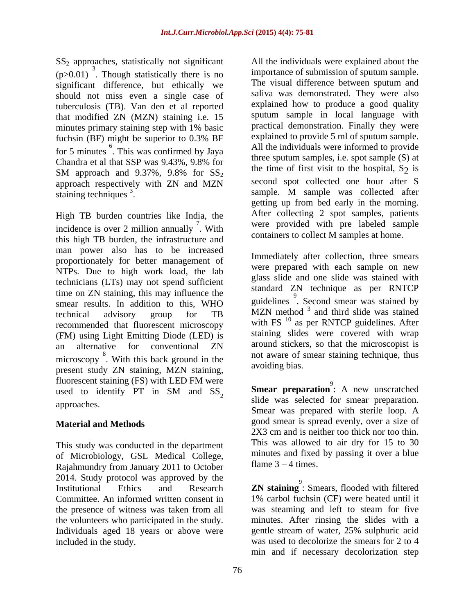$SS<sub>2</sub>$  approaches, statistically not significant  $(p>0.01)$ <sup>3</sup>. Though statistically there is no importance of submission of sputum sample. significant difference, but ethically we The visual difference between sputum and should not miss even a single case of tuberculosis (TB). Van den et al reported that modified ZN (MZN) staining i.e. 15 minutes primary staining step with 1% basic fuchsin (BF) might be superior to 0.3% BF for 5 minutes. This was confirmed by Jaya and the individuals were informed to provide Chandra et al that SSP was  $9.43\%$ ,  $9.8\%$  for the time of first sixt to the here is a set of section of  $\frac{1}{2}$ . SM approach and  $9.37\%$ ,  $9.8\%$  for  $SS_2$  and the finite of first visit to the hospital,  $S_2$  is approach respectively with ZN and MZN staining techniques<sup>3</sup>. Sample. M sample was collected after

incidence is over 2 million annually  $\overline{a}$ . With this high TB burden, the infrastructure and man power also has to be increased proportionately for better management of NTPs. Due to high work load, the lab technicians (LTs) may not spend sufficient time on ZN staining, this may influence the the on  $\Sigma N$  staining, this may influence the suitable parameters of  $\frac{9}{2}$ . Second smear was stained by smear results. In addition to this, WHO technical advisory group for TB  $MZN$  method and third slide was stained recommended that fluorescent microscopy (FM) using Light Emitting Diode (LED) is<br>an alternative for conventional ZN an alternative for conventional ZN around stickers, so that the microscopist is microscopy. With this back ground in the the second in the second in the model of sine and stalling technique, thus present study ZN staining, MZN staining, fluorescent staining (FS) with LED FM were used to identify PT in SM and  $SS_2$  **Smear preparation**: A new unscratched

This study was conducted in the department of Microbiology, GSL Medical College, Rajahmundry from January 2011 to October 2014. Study protocol was approved by the Institutional Ethics and Research **ZN staining** 9 : Smears, flooded with filtered the presence of witness was taken from all the volunteers who participated in the study. Individuals aged 18 years or above were

<sup>6</sup> This was confirmed by Java and All the individuals were informed to provide staining techniques<sup>3</sup>.<br>
High TB burden countries like India, the after collecting 2 spot samples, patients <sup>7</sup> W<sub>ith</sub> were provided with pre labeled sample  $\frac{1}{2}$ . With were provided with the labeled sample All the individuals were explained about the importance of submission of sputum sample. The visual difference between sputum and saliva was demonstrated. They were also explained how to produce a good quality sputum sample in local language with practical demonstration. Finally they were explained to provide 5 ml of sputum sample. three sputum samples, i.e. spot sample (S) at the time of first visit to the hospital,  $S_2$  is second spot collected one hour after S getting up from bed early in the morning. After collecting 2 spot samples, patients containers to collect M samples at home.

<sup>8</sup> With this heak ground in the not aware of smear staining technique, thus Immediately after collection, three smears were prepared with each sample on new glass slide and one slide was stained with standard ZN technique as per RNTCP MZN method <sup>3</sup> and third slide was stained with FS<sup>10</sup> as per RNTCP guidelines. After staining slides were covered with wrap around stickers, so that the microscopist is avoiding bias.

approaches.<br>Smear was selected for sinear preparation.<br>Smear was prepared with sterile loop. A **Material and Methods** speed smear is spread evenly, over a size of **Smear preparation**<sup>9</sup>: A new unscratched **Smear preparation**: A new unscratched<br>slide was selected for smear preparation. 2X3 cm and is neither too thick nor too thin. This was allowed to air dry for 15 to 30 minutes and fixed by passing it over a blue flame  $3 - 4$  times.

Committee. An informed written consent in 1% carbol fuchsin (CF) were heated until it included in the study. was used to decolorize the smears for 2 to 4 was steaming and left to steam for five minutes. After rinsing the slides with a gentle stream of water, 25% sulphuric acid min and if necessary decolorization step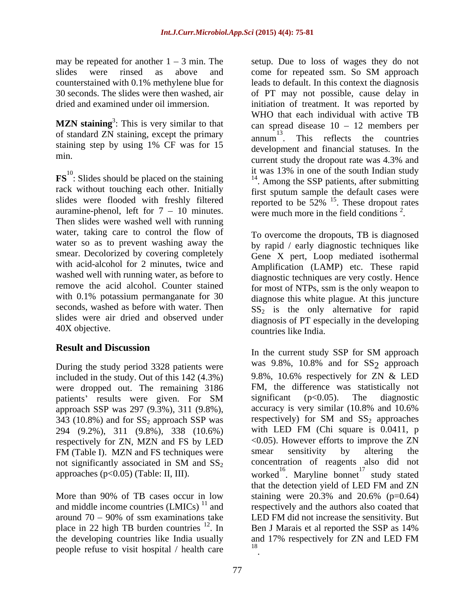may be repeated for another  $1 - 3$  min. The setup. Due to loss of wages they do not slides were rinsed as above and come for repeated ssm. So SM approach

of standard ZN staining, except the primary  $\frac{13}{2}$ staining step by using 1% CF was for 15

rack without touching each other. Initially auramine-phenol, left for  $7 - 10$  minutes. Then slides were washed well with running water, taking care to control the flow of To overcome the dropouts, TB is diagnosed water so as to prevent washing away the smear. Decolorized by covering completely Gene X pert, Loop mediated isothermal with acid-alcohol for 2 minutes, twice and washed well with running water, as before to remove the acid alcohol. Counter stained with 0.1% potassium permanganate for 30 seconds, washed as before with water. Then slides were air dried and observed under diagnosis of PT especially in the developing

## **Result and Discussion**

included in the study. Out of this 142 (4.3%) were dropped out. The remaining  $3186$  FM, the difference was statistically not nations' results were given. For SM significant ( $p<0.05$ ). The diagnostic approach SSP was 297 (9.3%), 311 (9.8%), accuracy is very similar  $(10.8\%$  and  $10.6\%$ <br>343 (10.8%) and for SS<sub>2</sub> approach SSP was respectively) for SM and SS<sub>2</sub> approaches 343 (10.8%) and for  $SS_2$  approach SSP was 294 (9.2%), 311 (9.8%), 338 (10.6%) respectively for ZN, MZN and FS by LED  $\leq 0.05$ ). However efforts to improve the FM (Table I). MZN and FS techniques were smear sensitivity by altering FM (Table I). MZN and FS techniques were smear sensitivity by altering the

More than 90% of TB cases occur in low staining were  $20.3\%$  and  $20.6\%$  (p=0.64) and middle income countries  $(LMICs)^{11}$  and<br>around 70 – 90% of ssm examinations take the developing countries like India usually and 17% respectively for ZN and LED FM people refuse to visit hospital / health care

counterstained with 0.1% methylene blue for leads to default. In this context the diagnosis 30 seconds. The slides were then washed, air of PT may not possible, cause delay in dried and examined under oil immersion. initiation of treatment. It was reported by **MZN** staining<sup>3</sup>: This is very similar to that  $\qquad$  can spread disease  $10 - 12$  members per : This is very similar to that  $\qquad \qquad \text{can spread disease } 10 - 12 \text{ members per}$ min.<br>current study the dropout rate was 4.3% and **FS**<sup>10</sup>: Slides should be placed on the staining The Mas 15% in one of the south indian study<br>The Mas 15% in one of the south indian study<br>The Mas 15% in one of the south indian study slides were flooded with freshly filtered reported to be  $52\%$  <sup>15</sup>. These dropout rates come for repeated ssm. So SM approach WHO that each individual with active TB annum This reflects the countries  $13 \quad \ldots \quad \ldots$ . This reflects the countries development and financial statuses. In the current study the dropout rate was 4.3% and it was 13% in one of the south Indian study <sup>14</sup>. Among the SSP patients, after submitting first sputum sample the default cases were . These dropout rates were much more in the field conditions  $2$ . .

40X objective. countries like India. by rapid / early diagnostic techniques like Amplification (LAMP) etc. These rapid diagnostic techniques are very costly. Hence for most of NTPs, ssm is the only weapon to diagnose this white plague. At this juncture  $SS<sub>2</sub>$  is the only alternative for rapid

During the study period 3328 patients were was 9.8%, 10.8% and for SS<sub>2</sub> approach patients' results were given. For SM significant (p<0.05). The diagnostic not significantly associated in SM and  $SS_2$  concentration of reagents also did not approaches (p<0.05) (Table: II, III). worked<sup>16</sup>. Maryline bonnet<sup>17</sup> study stated around 70 90% of ssm examinations take LED FM did not increase the sensitivity. But place in 22 high TB burden countries <sup>12</sup>. In Ben J Marais et al reported the SSP as 14% In the current study SSP for SM approach was 9.8%, 10.8% and for SS<sub>2</sub> approach approach 9.8%, 10.6% respectively for ZN & LED FM, the difference was statistically not significant (p<0.05). The diagnostic accuracy is very similar (10.8% and 10.6% respectively) for SM and  $SS_2$  approaches with LED FM (Chi square is 0.0411, p <0.05). However efforts to improve the ZN smear sensitivity by altering the concentration of reagents also did not  $17 \quad 1 \quad 1$ study stated that the detection yield of LED FM and ZN staining were 20.3% and 20.6% (p=0.64) respectively and the authors also coated that Ben J Marais et al reported the SSP as 14% and 17% respectively for ZN and LED FM 18 and the contract of the contract of the contract of the contract of the contract of the contract of the contract of the contract of the contract of the contract of the contract of the contract of the contract of the con .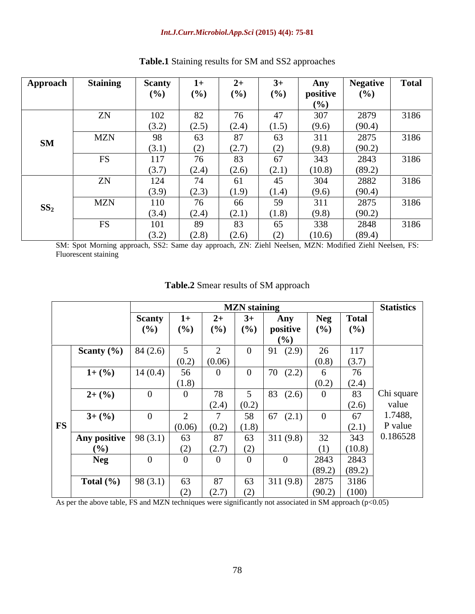#### *Int.J.Curr.Microbiol.App.Sci* **(2015) 4(4): 75-81**

| Approach               | <b>Staining</b> | <b>Scanty</b> | $1+$  |       |                | Any      | <b>Negative</b> | <b>Total</b>      |
|------------------------|-----------------|---------------|-------|-------|----------------|----------|-----------------|-------------------|
|                        |                 | (%)           | (%)   | (%)   | (%)            | positive | (%)             |                   |
|                        |                 |               |       |       |                | (9/0)    |                 |                   |
|                        | ZN              | 102           | 82    |       | $\overline{A}$ | 307      | 2879            | 3186              |
|                        |                 | (3.2)         | (2.5) | (2.4) | (1.5)          | (9.6)    | (90.4)          |                   |
|                        | <b>MZN</b>      | 98            | 63    | 87    | 63             | 311      | 2875            | 3186              |
| $\mathbf{S}\mathbf{M}$ |                 | (3.1)         | (2)   | (2.7) | (2)            | (9.8)    | (90.2)          |                   |
|                        | <b>FS</b>       | 117           | 76    | 83    | 67             | 343      | 2843            | $\overline{3186}$ |
|                        |                 | (3.7)         | (2.4) | (2.6) | (2.1)          | (10.8)   | (89.2)          |                   |
|                        | ZN              | 124           | 74    | 61    | 45             | 304      | 2882            | 3186              |
|                        |                 | (3.9)         | (2.3) | (1.9) | (1.4)          | (9.6)    | (90.4)          |                   |
|                        | <b>MZN</b>      | 110           | 76    | 66    | 59             | 311      | 2875            | 3186              |
| SS <sub>2</sub>        |                 | (3.4)         | (2.4) | (2.1) | (1.8)          | (9.8)    | (90.2)          |                   |
|                        | <b>FS</b>       | 101           | 89    | 83    | 65             | 338      | 2848            | 3186              |
|                        |                 | (3.2)         | (2.8) | (2.6) |                | (10.6)   | (89.4)          |                   |

## **Table.1** Staining results for SM and SS2 approaches

SM: Spot Morning approach, SS2: Same day approach, ZN: Ziehl Neelsen, MZN: Modified Ziehl Neelsen, FS: Fluorescent staining

|                |                | <b>MZN</b> staining |                |                 |                 |            |              |                   |  |  |
|----------------|----------------|---------------------|----------------|-----------------|-----------------|------------|--------------|-------------------|--|--|
|                | <b>Scanty</b>  |                     | $2+$           | $3+$            | Any             | <b>Neg</b> | <b>Total</b> | <b>Statistics</b> |  |  |
|                | (%)            | (9/0)               | (%)            | (%)             | positive        | (%)        | (%)          |                   |  |  |
|                |                |                     |                |                 | (9/0)           |            |              |                   |  |  |
| Scanty $(\% )$ | 84(2.6)        |                     | $\sim$         |                 | 91(2.9)         | 26         | 117          |                   |  |  |
|                |                | (0.2)               | (0.06)         |                 |                 | (0.8)      | (3.7)        |                   |  |  |
| $1+(96)$       | 14(0.4)        | 56                  |                | - U             | $70\,$<br>(2.2) |            | 76           |                   |  |  |
|                |                | (1.8)               |                |                 |                 | (0.2)      | (2.4)        |                   |  |  |
| $2+(9)$        | $\overline{0}$ |                     | 78             | $5\overline{)}$ | 83(2.6)         |            | 83           | Chi square        |  |  |
|                |                |                     | (2.4)          | (0.2)           |                 |            | (2.6)        | value             |  |  |
| $3+(96)$       | $\Omega$       | $\sim$              | $\overline{ }$ | 58              | 67<br>(2.1)     |            | 67           | 1.7488,           |  |  |
| <b>FS</b>      |                | (0.06)              | (0.2)          | (1.8)           |                 |            | (2.1)        | P value           |  |  |
| Any positive   | 98(3.1)        | 63                  | 87             | 63              | 311(9.8)        | 32         | 343          | 0.186528          |  |  |
| (9/0)          |                | (2)                 | (2.7)          | (2)             |                 | (1)        | (10.8)       |                   |  |  |
| <b>Neg</b>     | $\Omega$       |                     |                |                 |                 | 2843       | 2843         |                   |  |  |
|                |                |                     |                |                 |                 | (89.2)     | (89.2)       |                   |  |  |
| Total $(\% )$  | 98(3.1)        | 63                  | 87             | 63              | 311(9.8)        | 2875       | 3186         |                   |  |  |
|                |                | (2)                 | (2.7)          | (2)             |                 | (90.2)     | (100)        |                   |  |  |

### **Table.2** Smear results of SM approach

As per the above table, FS and MZN techniques were significantly not associated in SM approach (p<0.05)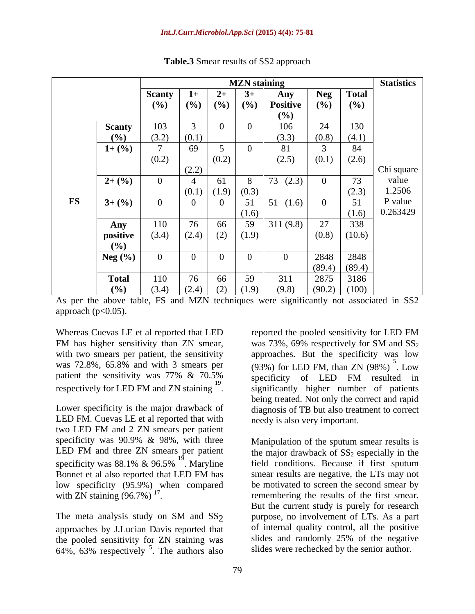|               |               |                          | <b>Statistics</b> |                 |       |                 |                |              |            |
|---------------|---------------|--------------------------|-------------------|-----------------|-------|-----------------|----------------|--------------|------------|
|               |               | <b>Scanty</b>            | $1+$              | $2+$            | $3+$  | Any             | <b>Neg</b>     | <b>Total</b> |            |
|               |               | (%)                      | (%)               | (%)             | (%)   | <b>Positive</b> | (%)            | (%)          |            |
|               |               |                          |                   |                 |       | (%)             |                |              |            |
|               | <b>Scanty</b> | 103                      |                   |                 |       | 106             | 24             | 130          |            |
|               | (%)           | (3.2)                    | (0.1)             |                 |       | (3.3)           | (0.8)          | (4.1)        |            |
|               | $1+(%)$       | $\overline{\phantom{0}}$ | 69                | $\epsilon$      |       | 81              | $\sim$         | 84           |            |
|               |               | (0.2)                    |                   | (0.2)           |       | (2.5)           | (0.1)          | (2.6)        |            |
|               |               |                          | (2.2)             |                 |       |                 |                |              | Chi square |
|               | $2+(9)$       | $\sim$                   |                   | 61              |       | 73 $(2.3)$      | $\overline{0}$ | 73           | value      |
|               |               |                          | (0.1)             | $(1.9)$ $(0.3)$ |       |                 |                | (2.3)        | 1.2506     |
| $\mathbf{FS}$ | $3+(9/6)$     |                          | $\Omega$          |                 | 51    | 51<br>(1.6)     | $\bf{0}$       | 51           | P value    |
|               |               |                          |                   |                 | (1.6) |                 |                | (1.6)        | 0.263429   |
|               | Any           | 110                      | 76                | 66              | 59    | 311(9.8)        | 27             | 338          |            |
|               | positive      | (3.4)                    | (2.4)             | (2)             | (1.9) |                 | (0.8)          | (10.6)       |            |
|               | (%)           |                          |                   |                 |       |                 |                |              |            |
|               | Neg $(\% )$   |                          | $\overline{0}$    |                 |       | $\Omega$        | 2848           | 2848         |            |
|               |               |                          |                   |                 |       |                 | (89.4)         | (89.4)       |            |
|               | <b>Total</b>  | 110                      | 76                | 66              | 59    | 311             | 2875           | 3186         |            |
|               |               |                          |                   |                 |       |                 |                |              |            |

**Table.3** Smear results of SS2 approach

As per the above table, FS and MZN techniques were significantly not associated in SS2 approach  $(p<0.05)$ .

Whereas Cuevas LE et al reported that LED reported the pooled sensitivity for LED FM FM has higher sensitivity than ZN smear, was 73%, 69% respectively for SM and  $SS_2$ with two smears per patient, the sensitivity approaches. But the specificity was low was 72.8%, 65.8% and with 3 smears per  $(93\%)$  for LED FM, than ZN  $(98\%)$ . Low patient the sensitivity was 77% & 70.5% specificity of LED FM resulted in respectively for LED FM and ZN staining <sup>19</sup> specificantly higher number of patients

LED FM. Cuevas LE et al reported that with two LED FM and 2 ZN smears per patient specificity was 90.9% & 98%, with three LED FM and three ZN smears per patient specificity was  $88.1\%$  &  $96.5\%$ <sup>19</sup>. Maryline low specificity (95.9%) when compared with ZN staining (96.7%)  $^{17}$ .

approaches by J.Lucian Davis reported that the pooled sensitivity for ZN staining was 64%, 63% respectively  $5$ . The authors also

respectively for LED FM and ZN staining  $\frac{1}{2}$ . significantly higher number of patients<br>being treated. Not only the correct and rapid<br>Lower specificity is the major drawback of diagnosis of TB but also treatment to corr reported the pooled sensitivity for LED FM was 73%, 69% respectively for SM and  $SS_2$  $5<sub>z</sub>$ . Low specificity of LED FM resulted in being treated. Not only the correct and rapid diagnosis of TB but also treatment to correct needy is also very important.

 $19 \times 11$   $10 \times 11$   $10 \times 11$   $10 \times 11$   $10 \times 11$   $10 \times 11$   $10 \times 11$   $10 \times 11$   $10 \times 11$   $10 \times 11$   $10 \times 11$   $10 \times 11$   $10 \times 11$   $10 \times 11$   $10 \times 11$   $10 \times 11$   $10 \times 11$   $10 \times 11$   $10 \times 11$   $10 \times 11$   $10 \times 11$   $10 \times 11$  . Maryline field conditions. Because if first sputum Bonnet et al also reported that LED FM has smear results are negative, the LTs may not with  $2N$  staining  $(96.7%)$ <sup>17</sup>. remembering the results of the first smear. with ZN staining  $(96.7\%)$ <sup>1'</sup>.<br>
The meta analysis study on SM and SS<sub>2</sub> energy and SS<sub>2</sub> energy seem involvement of LTs. As a part purpose, no involvement of LTs. As a part <sup>5</sup>. The authors also slides were rechecked by the senior author. Manipulation of the sputum smear results is the major drawback of  $SS_2$  especially in the smear results are negative, the LTs may not be motivated to screen the second smear by But the current study is purely for research purpose, no involvement of LTs. As a part of internal quality control, all the positive slides and randomly 25% of the negative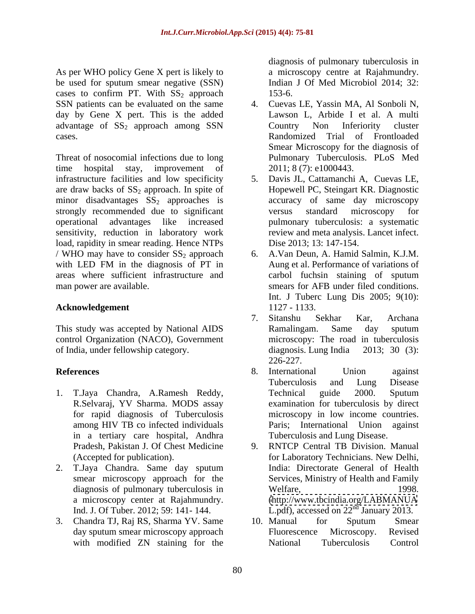As per WHO policy Gene X pert is likely to be used for sputum smear negative (SSN) cases to confirm PT. With  $SS_2$  approach 153-6. SSN patients can be evaluated on the same 4. Cuevas LE, Yassin MA, Al Sonboli N, day by Gene X pert. This is the added Lawson L, Arbide I et al. A multi advantage of SS<sub>2</sub> approach among SSN Country Non Inferiority cluster

Threat of nosocomial infections due to long time hospital stay, improvement of 2011; 8 (7): e1000443. infrastructure facilities and low specificity 5. are draw backs of  $SS_2$  approach. In spite of minor disadvantages  $SS_2$  approaches is accuracy of same day microscopy<br>strongly recommended due to significant versus standard microscopy strongly recommended due to significant versus standard microscopy for operational advantages like increased sensitivity, reduction in laboratory work load, rapidity in smear reading. Hence NTPs / WHO may have to consider  $SS_2$  approach 6. with LED FM in the diagnosis of PT in areas where sufficient infrastructure and man power are available. smears for AFB under filed conditions.

#### **Acknowledgement** 1127 - 1133.

This study was accepted by National AIDS control Organization (NACO), Government microscopy: The roa<br>of India, under fellowship category. diagnosis. Lung India of India, under fellowship category. diagnosis. Lung India 2013; 30 (3):

- 1. T.Jaya Chandra, A.Ramesh Reddy, R.Selvaraj, YV Sharma. MODS assay among HIV TB co infected individuals in a tertiary care hospital, Andhra
- 2. T.Jaya Chandra. Same day sputum
- 3. Chandra TJ, Raj RS, Sharma YV. Same

diagnosis of pulmonary tuberculosis in a microscopy centre at Rajahmundry. Indian J Of Med Microbiol 2014; 32: 153-6.

- cases. Randomized Trial of Frontloaded 4. Cuevas LE, Yassin MA, Al Sonboli N,<br>Lawson L, Arbide I et al. A multi Country Non Inferiority cluster Smear Microscopy for the diagnosis of Pulmonary Tuberculosis. PLoS Med
	- 5. Davis JL, Cattamanchi A, Cuevas LE, Hopewell PC, Steingart KR. Diagnostic accuracy of same day microscopy versus standard microscopy for pulmonary tuberculosis: a systematic review and meta analysis. Lancet infect. Dise 2013; 13: 147-154.
	- 6. A.Van Deun, A. Hamid Salmin, K.J.M. Aung et al. Performance of variations of carbol fuchsin staining of sputum Int. J Tuberc Lung Dis 2005; 9(10): 1127 - 1133.
	- 7. Sitanshu Sekhar Kar, Archana Ramalingam. Same day sputum microscopy: The road in tuberculosis diagnosis. Lung India 2013; 30 (3): 226-227.
- **References** 6. International Union against for rapid diagnosis of Tuberculosis microscopy in low income countries. 8. International Union against Tuberculosis and Lung Disease Technical guide 2000. Sputum examination for tuberculosis by direct Paris; International Union against Tuberculosis and Lung Disease.
	- Pradesh, Pakistan J. Of Chest Medicine 9. RNTCP Central TB Division. Manual (Accepted for publication). The for Laboratory Technicians. New Delhi, smear microscopy approach for the Services, Ministry of Health and Family diagnosis of pulmonary tuberculosis in Welfare, 1998. a microscopy center at Rajahmundry. [\(http://www.tbcindia.org/LABMANUA](http://www.tbcindia.org/LABMANUA) Ind. J. Of Tuber. 2012; 59: 141-144. L.pdf), accessed on  $22<sup>nd</sup>$  January 2013. for Laboratory Technicians. New Delhi, India: Directorate General of Health Welfare, 1998.
	- day sputum smear microscopy approach Fluorescence Microscopy. Revised with modified ZN staining for the National Tuberculosis Control 10. Manual for Sputum Smear Fluorescence Microscopy. Revised National Tuberculosis Control